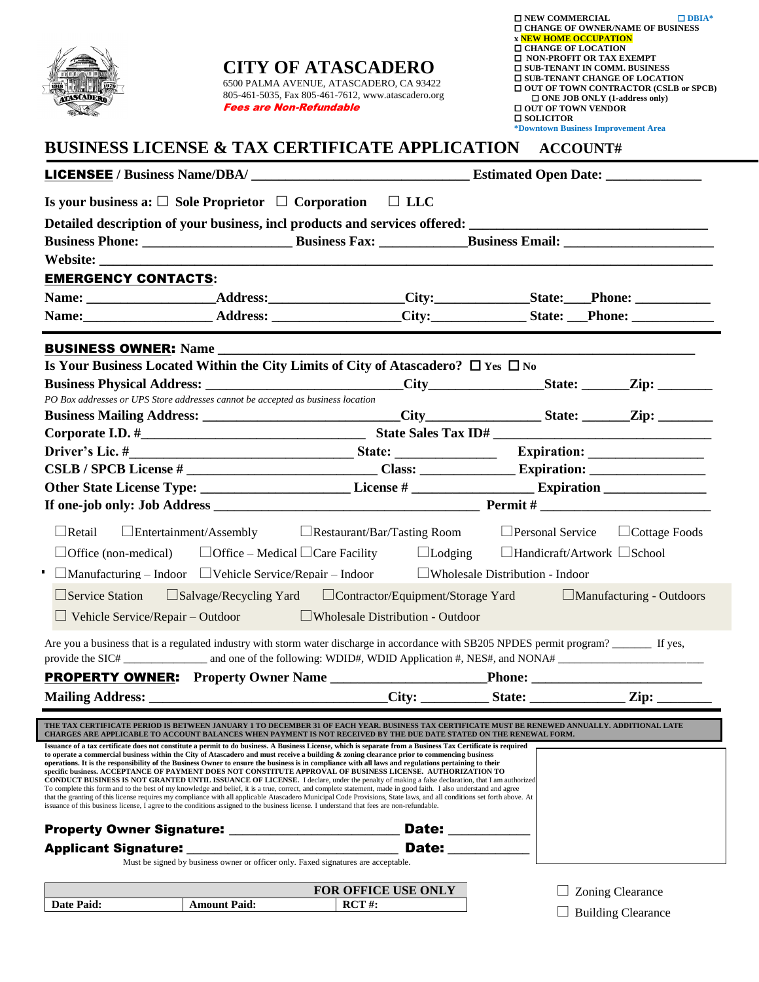| $\overline{\mathbb{R}}$ $\overline{\mathbb{R}}$ $\overline{\mathbb{R}}$<br><b>ATASCADERO</b> | <b>CITY OF ATASCADERO</b><br>6500 PALMA AVENUE, ATASCADERO, CA 93422<br>805-461-5035, Fax 805-461-7612, www.atascadero.org<br><b>Fees are Non-Refundable</b><br><b>BUSINESS LICENSE &amp; TAX CERTIFICATE APPLICATION</b>                                                                                                                                                                                                                                                                                                                                                                                                                                                                                                                                                                                                                                                                                                                                                                                                                                                                                                                                                                                                         |                                          | $\square$ NEW COMMERCIAL<br><b>x NEW HOME OCCUPATION</b><br><b>O CHANGE OF LOCATION</b><br>□ NON-PROFIT OR TAX EXEMPT<br><b>O SUB-TENANT IN COMM. BUSINESS</b><br><b><math>\Box</math> SUB-TENANT CHANGE OF LOCATION</b><br>$\Box$ ONE JOB ONLY (1-address only)<br><b>OUT OF TOWN VENDOR</b><br>$\square$ SOLICITOR<br>*Downtown Business Improvement Area | $\Box$ DBIA*<br><b><math>\Box</math> CHANGE OF OWNER/NAME OF BUSINESS</b><br>□ OUT OF TOWN CONTRACTOR (CSLB or SPCB) |
|----------------------------------------------------------------------------------------------|-----------------------------------------------------------------------------------------------------------------------------------------------------------------------------------------------------------------------------------------------------------------------------------------------------------------------------------------------------------------------------------------------------------------------------------------------------------------------------------------------------------------------------------------------------------------------------------------------------------------------------------------------------------------------------------------------------------------------------------------------------------------------------------------------------------------------------------------------------------------------------------------------------------------------------------------------------------------------------------------------------------------------------------------------------------------------------------------------------------------------------------------------------------------------------------------------------------------------------------|------------------------------------------|-------------------------------------------------------------------------------------------------------------------------------------------------------------------------------------------------------------------------------------------------------------------------------------------------------------------------------------------------------------|----------------------------------------------------------------------------------------------------------------------|
|                                                                                              |                                                                                                                                                                                                                                                                                                                                                                                                                                                                                                                                                                                                                                                                                                                                                                                                                                                                                                                                                                                                                                                                                                                                                                                                                                   |                                          | ACCOUNT#                                                                                                                                                                                                                                                                                                                                                    |                                                                                                                      |
|                                                                                              |                                                                                                                                                                                                                                                                                                                                                                                                                                                                                                                                                                                                                                                                                                                                                                                                                                                                                                                                                                                                                                                                                                                                                                                                                                   |                                          |                                                                                                                                                                                                                                                                                                                                                             |                                                                                                                      |
|                                                                                              | Is your business a: $\Box$ Sole Proprietor $\Box$ Corporation $\Box$ LLC                                                                                                                                                                                                                                                                                                                                                                                                                                                                                                                                                                                                                                                                                                                                                                                                                                                                                                                                                                                                                                                                                                                                                          |                                          |                                                                                                                                                                                                                                                                                                                                                             |                                                                                                                      |
|                                                                                              | Detailed description of your business, incl products and services offered: ___________________________________                                                                                                                                                                                                                                                                                                                                                                                                                                                                                                                                                                                                                                                                                                                                                                                                                                                                                                                                                                                                                                                                                                                    |                                          |                                                                                                                                                                                                                                                                                                                                                             |                                                                                                                      |
|                                                                                              |                                                                                                                                                                                                                                                                                                                                                                                                                                                                                                                                                                                                                                                                                                                                                                                                                                                                                                                                                                                                                                                                                                                                                                                                                                   |                                          |                                                                                                                                                                                                                                                                                                                                                             |                                                                                                                      |
| <b>EMERGENCY CONTACTS:</b>                                                                   |                                                                                                                                                                                                                                                                                                                                                                                                                                                                                                                                                                                                                                                                                                                                                                                                                                                                                                                                                                                                                                                                                                                                                                                                                                   |                                          |                                                                                                                                                                                                                                                                                                                                                             |                                                                                                                      |
|                                                                                              | Name: _______________________Address: ________________City: ______________State: ___Phone: _______________                                                                                                                                                                                                                                                                                                                                                                                                                                                                                                                                                                                                                                                                                                                                                                                                                                                                                                                                                                                                                                                                                                                        |                                          |                                                                                                                                                                                                                                                                                                                                                             |                                                                                                                      |
|                                                                                              |                                                                                                                                                                                                                                                                                                                                                                                                                                                                                                                                                                                                                                                                                                                                                                                                                                                                                                                                                                                                                                                                                                                                                                                                                                   |                                          |                                                                                                                                                                                                                                                                                                                                                             |                                                                                                                      |
|                                                                                              |                                                                                                                                                                                                                                                                                                                                                                                                                                                                                                                                                                                                                                                                                                                                                                                                                                                                                                                                                                                                                                                                                                                                                                                                                                   |                                          |                                                                                                                                                                                                                                                                                                                                                             |                                                                                                                      |
|                                                                                              | Is Your Business Located Within the City Limits of City of Atascadero? $\Box$ Yes $\Box$ No                                                                                                                                                                                                                                                                                                                                                                                                                                                                                                                                                                                                                                                                                                                                                                                                                                                                                                                                                                                                                                                                                                                                       |                                          |                                                                                                                                                                                                                                                                                                                                                             |                                                                                                                      |
|                                                                                              |                                                                                                                                                                                                                                                                                                                                                                                                                                                                                                                                                                                                                                                                                                                                                                                                                                                                                                                                                                                                                                                                                                                                                                                                                                   |                                          |                                                                                                                                                                                                                                                                                                                                                             |                                                                                                                      |
|                                                                                              | PO Box addresses or UPS Store addresses cannot be accepted as business location                                                                                                                                                                                                                                                                                                                                                                                                                                                                                                                                                                                                                                                                                                                                                                                                                                                                                                                                                                                                                                                                                                                                                   |                                          |                                                                                                                                                                                                                                                                                                                                                             |                                                                                                                      |
|                                                                                              |                                                                                                                                                                                                                                                                                                                                                                                                                                                                                                                                                                                                                                                                                                                                                                                                                                                                                                                                                                                                                                                                                                                                                                                                                                   |                                          |                                                                                                                                                                                                                                                                                                                                                             |                                                                                                                      |
|                                                                                              |                                                                                                                                                                                                                                                                                                                                                                                                                                                                                                                                                                                                                                                                                                                                                                                                                                                                                                                                                                                                                                                                                                                                                                                                                                   |                                          |                                                                                                                                                                                                                                                                                                                                                             |                                                                                                                      |
|                                                                                              |                                                                                                                                                                                                                                                                                                                                                                                                                                                                                                                                                                                                                                                                                                                                                                                                                                                                                                                                                                                                                                                                                                                                                                                                                                   |                                          |                                                                                                                                                                                                                                                                                                                                                             |                                                                                                                      |
|                                                                                              |                                                                                                                                                                                                                                                                                                                                                                                                                                                                                                                                                                                                                                                                                                                                                                                                                                                                                                                                                                                                                                                                                                                                                                                                                                   |                                          |                                                                                                                                                                                                                                                                                                                                                             |                                                                                                                      |
|                                                                                              |                                                                                                                                                                                                                                                                                                                                                                                                                                                                                                                                                                                                                                                                                                                                                                                                                                                                                                                                                                                                                                                                                                                                                                                                                                   |                                          |                                                                                                                                                                                                                                                                                                                                                             |                                                                                                                      |
| $\Box$ Retail                                                                                | $\Box$ Entertainment/Assembly $\Box$ Restaurant/Bar/Tasting Room $\Box$ Personal Service $\Box$ Cottage Foods                                                                                                                                                                                                                                                                                                                                                                                                                                                                                                                                                                                                                                                                                                                                                                                                                                                                                                                                                                                                                                                                                                                     |                                          |                                                                                                                                                                                                                                                                                                                                                             |                                                                                                                      |
|                                                                                              | $\Box$ Office (non-medical) $\Box$ Office – Medical $\Box$ Care Facility $\Box$ Lodging $\Box$ Handicraft/Artwork $\Box$ School                                                                                                                                                                                                                                                                                                                                                                                                                                                                                                                                                                                                                                                                                                                                                                                                                                                                                                                                                                                                                                                                                                   |                                          |                                                                                                                                                                                                                                                                                                                                                             |                                                                                                                      |
|                                                                                              |                                                                                                                                                                                                                                                                                                                                                                                                                                                                                                                                                                                                                                                                                                                                                                                                                                                                                                                                                                                                                                                                                                                                                                                                                                   |                                          |                                                                                                                                                                                                                                                                                                                                                             |                                                                                                                      |
|                                                                                              | $\Box$ Manufacturing – Indoor $\Box$ Vehicle Service/Repair – Indoor                                                                                                                                                                                                                                                                                                                                                                                                                                                                                                                                                                                                                                                                                                                                                                                                                                                                                                                                                                                                                                                                                                                                                              |                                          | Wholesale Distribution - Indoor                                                                                                                                                                                                                                                                                                                             |                                                                                                                      |
| $\Box$ Service Station                                                                       | $\Box$ Salvage/Recycling Yard                                                                                                                                                                                                                                                                                                                                                                                                                                                                                                                                                                                                                                                                                                                                                                                                                                                                                                                                                                                                                                                                                                                                                                                                     | $\Box$ Contractor/Equipment/Storage Yard |                                                                                                                                                                                                                                                                                                                                                             | $\Box$ Manufacturing - Outdoors                                                                                      |
| $\Box$ Vehicle Service/Repair – Outdoor                                                      |                                                                                                                                                                                                                                                                                                                                                                                                                                                                                                                                                                                                                                                                                                                                                                                                                                                                                                                                                                                                                                                                                                                                                                                                                                   | $\Box$ Wholesale Distribution - Outdoor  |                                                                                                                                                                                                                                                                                                                                                             |                                                                                                                      |
|                                                                                              | Are you a business that is a regulated industry with storm water discharge in accordance with SB205 NPDES permit program?                                                                                                                                                                                                                                                                                                                                                                                                                                                                                                                                                                                                                                                                                                                                                                                                                                                                                                                                                                                                                                                                                                         |                                          |                                                                                                                                                                                                                                                                                                                                                             |                                                                                                                      |
|                                                                                              |                                                                                                                                                                                                                                                                                                                                                                                                                                                                                                                                                                                                                                                                                                                                                                                                                                                                                                                                                                                                                                                                                                                                                                                                                                   |                                          |                                                                                                                                                                                                                                                                                                                                                             |                                                                                                                      |
|                                                                                              |                                                                                                                                                                                                                                                                                                                                                                                                                                                                                                                                                                                                                                                                                                                                                                                                                                                                                                                                                                                                                                                                                                                                                                                                                                   | $\text{City:}$                           |                                                                                                                                                                                                                                                                                                                                                             | $\mathbf{Zip:}$                                                                                                      |
|                                                                                              |                                                                                                                                                                                                                                                                                                                                                                                                                                                                                                                                                                                                                                                                                                                                                                                                                                                                                                                                                                                                                                                                                                                                                                                                                                   |                                          |                                                                                                                                                                                                                                                                                                                                                             |                                                                                                                      |
|                                                                                              | THE TAX CERTIFICATE PERIOD IS BETWEEN JANUARY 1 TO DECEMBER 31 OF EACH YEAR. BUSINESS TAX CERTIFICATE MUST BE RENEWED ANNUALLY. ADDITIONAL LATE<br>CHARGES ARE APPLICABLE TO ACCOUNT BALANCES WHEN PAYMENT IS NOT RECEIVED BY THE DUE DATE STATED ON THE RENEWAL FORM.                                                                                                                                                                                                                                                                                                                                                                                                                                                                                                                                                                                                                                                                                                                                                                                                                                                                                                                                                            |                                          |                                                                                                                                                                                                                                                                                                                                                             |                                                                                                                      |
|                                                                                              | Issuance of a tax certificate does not constitute a permit to do business. A Business License, which is separate from a Business Tax Certificate is required<br>to operate a commercial business within the City of Atascadero and must receive a building & zoning clearance prior to commencing business<br>operations. It is the responsibility of the Business Owner to ensure the business is in compliance with all laws and regulations pertaining to their<br>specific business. ACCEPTANCE OF PAYMENT DOES NOT CONSTITUTE APPROVAL OF BUSINESS LICENSE. AUTHORIZATION TO<br><b>CONDUCT BUSINESS IS NOT GRANTED UNTIL ISSUANCE OF LICENSE.</b> I declare, under the penalty of making a false declaration, that I am authorized<br>To complete this form and to the best of my knowledge and belief, it is a true, correct, and complete statement, made in good faith. I also understand and agree<br>that the granting of this license requires my compliance with all applicable Atascadero Municipal Code Provisions, State laws, and all conditions set forth above. At<br>issuance of this business license, I agree to the conditions assigned to the business license. I understand that fees are non-refundable. | Date: __________<br>Date: ________       |                                                                                                                                                                                                                                                                                                                                                             |                                                                                                                      |
|                                                                                              | Must be signed by business owner or officer only. Faxed signatures are acceptable.                                                                                                                                                                                                                                                                                                                                                                                                                                                                                                                                                                                                                                                                                                                                                                                                                                                                                                                                                                                                                                                                                                                                                |                                          |                                                                                                                                                                                                                                                                                                                                                             |                                                                                                                      |
|                                                                                              |                                                                                                                                                                                                                                                                                                                                                                                                                                                                                                                                                                                                                                                                                                                                                                                                                                                                                                                                                                                                                                                                                                                                                                                                                                   | <b>FOR OFFICE USE ONLY</b>               |                                                                                                                                                                                                                                                                                                                                                             | Zoning Clearance                                                                                                     |
| Date Paid:                                                                                   | <b>Amount Paid:</b><br>$\boldsymbol{RCT}$ #:                                                                                                                                                                                                                                                                                                                                                                                                                                                                                                                                                                                                                                                                                                                                                                                                                                                                                                                                                                                                                                                                                                                                                                                      |                                          |                                                                                                                                                                                                                                                                                                                                                             | <b>Building Clearance</b>                                                                                            |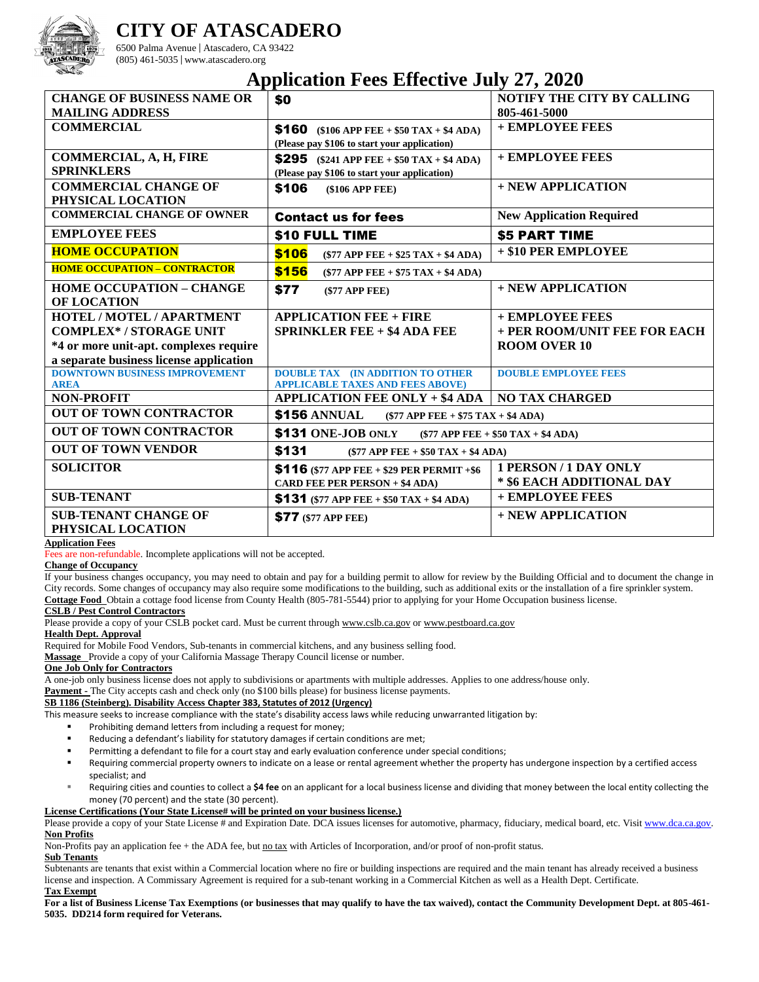

# **CITY OF ATASCADERO**

6500 Palma Avenue | Atascadero, CA 93422 (805) 461-5035 | www.atascadero.org

# **Application Fees Effective July 27, 2020**

|                                         | -г г                                                             | $-1, -1, -1$                         |
|-----------------------------------------|------------------------------------------------------------------|--------------------------------------|
| <b>CHANGE OF BUSINESS NAME OR</b>       | \$0                                                              | <b>NOTIFY THE CITY BY CALLING</b>    |
| <b>MAILING ADDRESS</b>                  |                                                                  | 805-461-5000                         |
| <b>COMMERCIAL</b>                       | <b>\$160</b> (\$106 APP FEE + \$50 TAX + \$4 ADA)                | + EMPLOYEE FEES                      |
|                                         | (Please pay \$106 to start your application)                     |                                      |
| COMMERCIAL, A, H, FIRE                  | \$295 (\$241 APP FEE + \$50 TAX + \$4 ADA)                       | + EMPLOYEE FEES                      |
| <b>SPRINKLERS</b>                       | (Please pay \$106 to start your application)                     |                                      |
| <b>COMMERCIAL CHANGE OF</b>             | \$106<br>$$106$ APP FEE)                                         | + NEW APPLICATION                    |
| PHYSICAL LOCATION                       |                                                                  |                                      |
| <b>COMMERCIAL CHANGE OF OWNER</b>       | <b>Contact us for fees</b>                                       | <b>New Application Required</b>      |
| <b>EMPLOYEE FEES</b>                    | \$10 FULL TIME                                                   | <b>\$5 PART TIME</b>                 |
| <b>HOME OCCUPATION</b>                  | \$106<br>$($77$ APP FEE + \$25 TAX + \$4 ADA)                    | + \$10 PER EMPLOYEE                  |
| <b>HOME OCCUPATION - CONTRACTOR</b>     | \$156<br>$($77$ APP FEE + $$75$ TAX + \$4 ADA)                   |                                      |
| <b>HOME OCCUPATION - CHANGE</b>         | \$77<br>$(S77$ APP FEE)                                          | + NEW APPLICATION                    |
| OF LOCATION                             |                                                                  |                                      |
| HOTEL / MOTEL / APARTMENT               | <b>APPLICATION FEE + FIRE</b>                                    | + EMPLOYEE FEES                      |
| <b>COMPLEX*/STORAGE UNIT</b>            | <b>SPRINKLER FEE + \$4 ADA FEE</b>                               | + PER ROOM/UNIT FEE FOR EACH         |
| *4 or more unit-apt. complexes require  |                                                                  | <b>ROOM OVER 10</b>                  |
| a separate business license application |                                                                  |                                      |
| <b>DOWNTOWN BUSINESS IMPROVEMENT</b>    | <b>DOUBLE TAX (IN ADDITION TO OTHER</b>                          | <b>DOUBLE EMPLOYEE FEES</b>          |
| <b>AREA</b>                             | <b>APPLICABLE TAXES AND FEES ABOVE)</b>                          |                                      |
| <b>NON-PROFIT</b>                       | <b>APPLICATION FEE ONLY + \$4 ADA</b>                            | <b>NO TAX CHARGED</b>                |
| <b>OUT OF TOWN CONTRACTOR</b>           | <b>\$156 ANNUAL</b><br>$(\$77$ APP FEE + $\$75$ TAX + $\$4$ ADA) |                                      |
| <b>OUT OF TOWN CONTRACTOR</b>           | \$131 ONE-JOB ONLY                                               | $($77$ APP FEE + \$50 TAX + \$4 ADA) |
| <b>OUT OF TOWN VENDOR</b>               | \$131<br>$(\$77$ APP FEE + $\$50$ TAX + $\$4$ ADA)               |                                      |
| <b>SOLICITOR</b>                        | \$116 (\$77 APP FEE + \$29 PER PERMIT +\$6                       | <b>1 PERSON/1 DAY ONLY</b>           |
|                                         | <b>CARD FEE PER PERSON + \$4 ADA)</b>                            | * \$6 EACH ADDITIONAL DAY            |
| <b>SUB-TENANT</b>                       | <b>\$131</b> (\$77 APP FEE + \$50 TAX + \$4 ADA)                 | + EMPLOYEE FEES                      |
| <b>SUB-TENANT CHANGE OF</b>             | <b>\$77</b> (\$77 APP FEE)                                       | + NEW APPLICATION                    |
| PHYSICAL LOCATION                       |                                                                  |                                      |

### **Application Fees**

Fees are non-refundable. Incomplete applications will not be accepted.

#### **Change of Occupancy**

If your business changes occupancy, you may need to obtain and pay for a building permit to allow for review by the Building Official and to document the change in City records. Some changes of occupancy may also require some modifications to the building, such as additional exits or the installation of a fire sprinkler system. **Cottage Food** Obtain a cottage food license from County Health (805-781-5544) prior to applying for your Home Occupation business license.

## **CSLB / Pest Control Contractors**

Please provide a copy of your CSLB pocket card. Must be current through www.cslb.ca.gov or www.pestboard.ca.gov

**Health Dept. Approval**

Required for Mobile Food Vendors, Sub-tenants in commercial kitchens, and any business selling food.

**Massage** Provide a copy of your California Massage Therapy Council license or number.

# **One Job Only for Contractors**

A one-job only business license does not apply to subdivisions or apartments with multiple addresses. Applies to one address/house only.

# **Payment -** The City accepts cash and check only (no \$100 bills please) for business license payments.

## **SB 1186 (Steinberg). Disability Access Chapter 383, Statutes of 2012 (Urgency)**

This measure seeks to increase compliance with the state's disability access laws while reducing unwarranted litigation by:

- Prohibiting demand letters from including a request for money;
- Reducing a defendant's liability for statutory damages if certain conditions are met;
- Permitting a defendant to file for a court stay and early evaluation conference under special conditions;
- Requiring commercial property owners to indicate on a lease or rental agreement whether the property has undergone inspection by a certified access specialist; and
- Requiring cities and counties to collect a \$4 fee on an applicant for a local business license and dividing that money between the local entity collecting the money (70 percent) and the state (30 percent).

## **License Certifications (Your State License# will be printed on your business license.)**

Please provide a copy of your State License # and Expiration Date. DCA issues licenses for automotive, pharmacy, fiduciary, medical board, etc. Visi[t www.dca.ca.gov.](http://www.dca.ca.gov/) **Non Profits**

Non-Profits pay an application fee + the ADA fee, but no tax with Articles of Incorporation, and/or proof of non-profit status.

### **Sub Tenants**

Subtenants are tenants that exist within a Commercial location where no fire or building inspections are required and the main tenant has already received a business license and inspection. A Commissary Agreement is required for a sub-tenant working in a Commercial Kitchen as well as a Health Dept. Certificate. **Tax Exempt**

**For a list of Business License Tax Exemptions (or businesses that may qualify to have the tax waived), contact the Community Development Dept. at 805-461- 5035. DD214 form required for Veterans.**